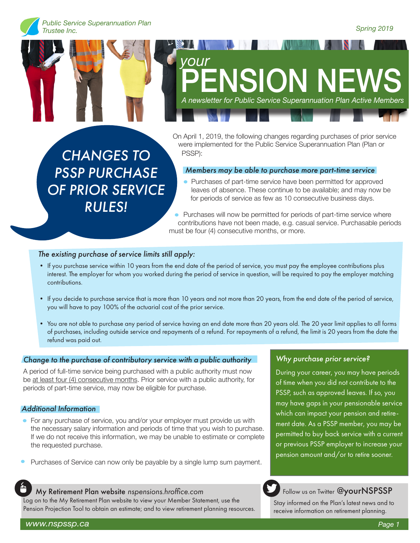

# *your* **ENSION NE** *A newsletter for Public Service Superannuation Plan Active Members*

On April 1, 2019, the following changes regarding purchases of prior service were implemented for the Public Service Superannuation Plan (Plan or PSSP):

*Members may be able to purchase more part-time service*

• Purchases of part-time service have been permitted for approved leaves of absence. These continue to be available; and may now be for periods of service as few as 10 consecutive business days.

• Purchases will now be permitted for periods of part-time service where contributions have not been made, e.g. casual service. Purchasable periods must be four (4) consecutive months, or more.

## *The existing purchase of service limits still apply:*

*CHANGES TO* 

*PSSP PURCHASE* 

*OF PRIOR SERVICE* 

*RULES!*

- If you purchase service within 10 years from the end date of the period of service, you must pay the employee contributions plus interest. The employer for whom you worked during the period of service in question, will be required to pay the employer matching contributions.
- If you decide to purchase service that is more than 10 years and not more than 20 years, from the end date of the period of service, you will have to pay 100% of the actuarial cost of the prior service.
- You are not able to purchase any period of service having an end date more than 20 years old. The 20 year limit applies to all forms of purchases, including outside service and repayments of a refund. For repayments of a refund, the limit is 20 years from the date the refund was paid out.

## *Change to the purchase of contributory service with a public authority*

A period of full-time service being purchased with a public authority must now be at least four (4) consecutive months. Prior service with a public authority, for periods of part-time service, may now be eligible for purchase.

## *Additional Information*

- For any purchase of service, you and/or your employer must provide us with  $\bullet$ the necessary salary information and periods of time that you wish to purchase. If we do not receive this information, we may be unable to estimate or complete the requested purchase.
- Purchases of Service can now only be payable by a single lump sum payment.

#### My Retirement Plan website *nspensions.hroffice.com*

Log on to the My Retirement Plan website to view your Member Statement, use the Pension Projection Tool to obtain an estimate; and to view retirement planning resources.

#### *Why purchase prior service?*

During your career, you may have periods of time when you did not contribute to the PSSP, such as approved leaves. If so, you may have gaps in your pensionable service which can impact your pension and retirement date. As a PSSP member, you may be permitted to buy back service with a current or previous PSSP employer to increase your pension amount and/or to retire sooner.

## Follow us on Twitter @yourNSPSSP

Stay informed on the Plan's latest news and to receive information on retirement planning.